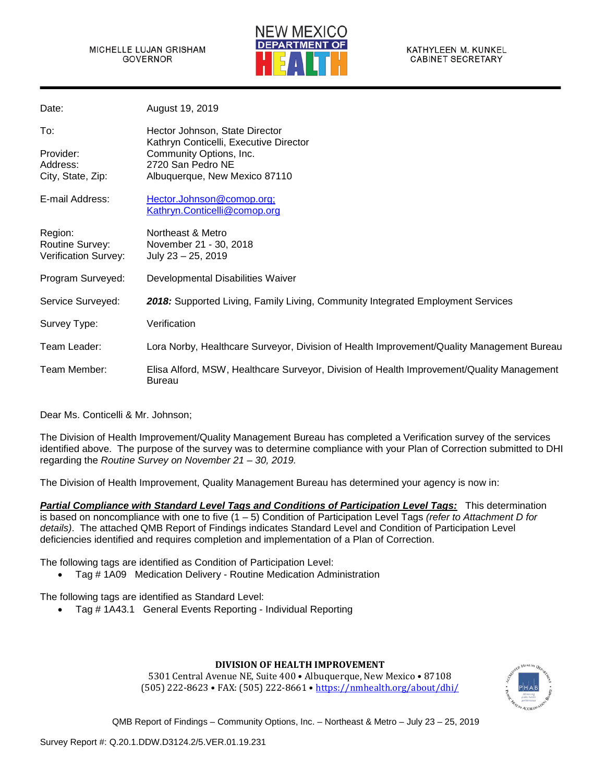

| Date:                       | August 19, 2019                                                                                            |
|-----------------------------|------------------------------------------------------------------------------------------------------------|
| To:                         | Hector Johnson, State Director<br>Kathryn Conticelli, Executive Director                                   |
| Provider:                   | Community Options, Inc.                                                                                    |
| Address:                    | 2720 San Pedro NE                                                                                          |
| City, State, Zip:           | Albuquerque, New Mexico 87110                                                                              |
| E-mail Address:             | Hector.Johnson@comop.org;<br>Kathryn.Conticelli@comop.org                                                  |
| Region:<br>Routine Survey:  | Northeast & Metro<br>November 21 - 30, 2018                                                                |
| <b>Verification Survey:</b> | July $23 - 25$ , 2019                                                                                      |
| Program Surveyed:           | Developmental Disabilities Waiver                                                                          |
| Service Surveyed:           | 2018: Supported Living, Family Living, Community Integrated Employment Services                            |
| Survey Type:                | Verification                                                                                               |
| Team Leader:                | Lora Norby, Healthcare Surveyor, Division of Health Improvement/Quality Management Bureau                  |
| Team Member:                | Elisa Alford, MSW, Healthcare Surveyor, Division of Health Improvement/Quality Management<br><b>Bureau</b> |

Dear Ms. Conticelli & Mr. Johnson;

The Division of Health Improvement/Quality Management Bureau has completed a Verification survey of the services identified above. The purpose of the survey was to determine compliance with your Plan of Correction submitted to DHI regarding the *Routine Survey on November 21 – 30, 2019.*

The Division of Health Improvement, Quality Management Bureau has determined your agency is now in:

*Partial Compliance with Standard Level Tags and Conditions of Participation Level Tags:* This determination is based on noncompliance with one to five (1 – 5) Condition of Participation Level Tags *(refer to Attachment D for details)*. The attached QMB Report of Findings indicates Standard Level and Condition of Participation Level deficiencies identified and requires completion and implementation of a Plan of Correction.

The following tags are identified as Condition of Participation Level:

• Tag # 1A09 Medication Delivery - Routine Medication Administration

The following tags are identified as Standard Level:

• Tag # 1A43.1 General Events Reporting - Individual Reporting

#### **DIVISION OF HEALTH IMPROVEMENT**

5301 Central Avenue NE, Suite 400 • Albuquerque, New Mexico • 87108 (505) 222-8623 • FAX: (505) 222-8661 [• https://nmhealth.org/about/dhi/](https://nmhealth.org/about/dhi/)

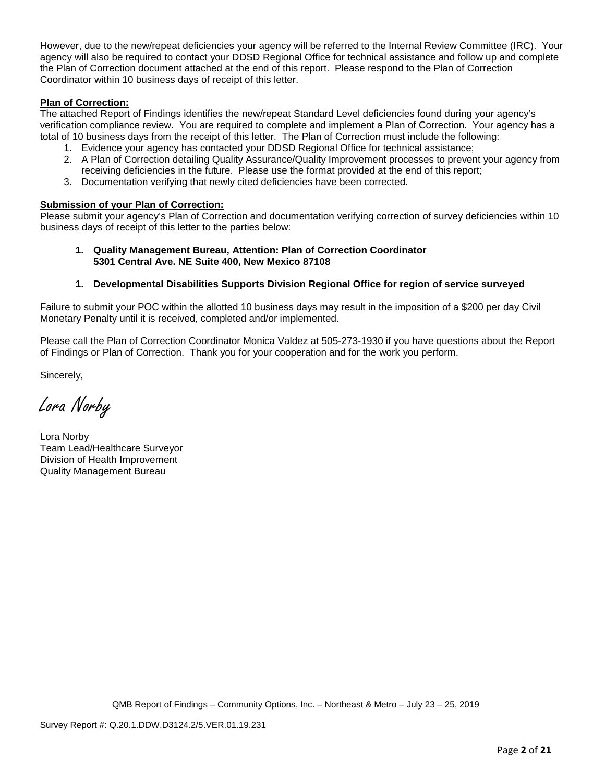However, due to the new/repeat deficiencies your agency will be referred to the Internal Review Committee (IRC). Your agency will also be required to contact your DDSD Regional Office for technical assistance and follow up and complete the Plan of Correction document attached at the end of this report. Please respond to the Plan of Correction Coordinator within 10 business days of receipt of this letter.

### **Plan of Correction:**

The attached Report of Findings identifies the new/repeat Standard Level deficiencies found during your agency's verification compliance review. You are required to complete and implement a Plan of Correction. Your agency has a total of 10 business days from the receipt of this letter. The Plan of Correction must include the following:

- 1. Evidence your agency has contacted your DDSD Regional Office for technical assistance;
- 2. A Plan of Correction detailing Quality Assurance/Quality Improvement processes to prevent your agency from receiving deficiencies in the future. Please use the format provided at the end of this report;
- 3. Documentation verifying that newly cited deficiencies have been corrected.

#### **Submission of your Plan of Correction:**

Please submit your agency's Plan of Correction and documentation verifying correction of survey deficiencies within 10 business days of receipt of this letter to the parties below:

**1. Quality Management Bureau, Attention: Plan of Correction Coordinator 5301 Central Ave. NE Suite 400, New Mexico 87108**

### **1. Developmental Disabilities Supports Division Regional Office for region of service surveyed**

Failure to submit your POC within the allotted 10 business days may result in the imposition of a \$200 per day Civil Monetary Penalty until it is received, completed and/or implemented.

Please call the Plan of Correction Coordinator Monica Valdez at 505-273-1930 if you have questions about the Report of Findings or Plan of Correction. Thank you for your cooperation and for the work you perform.

Sincerely,

Lora Norby

Lora Norby Team Lead/Healthcare Surveyor Division of Health Improvement Quality Management Bureau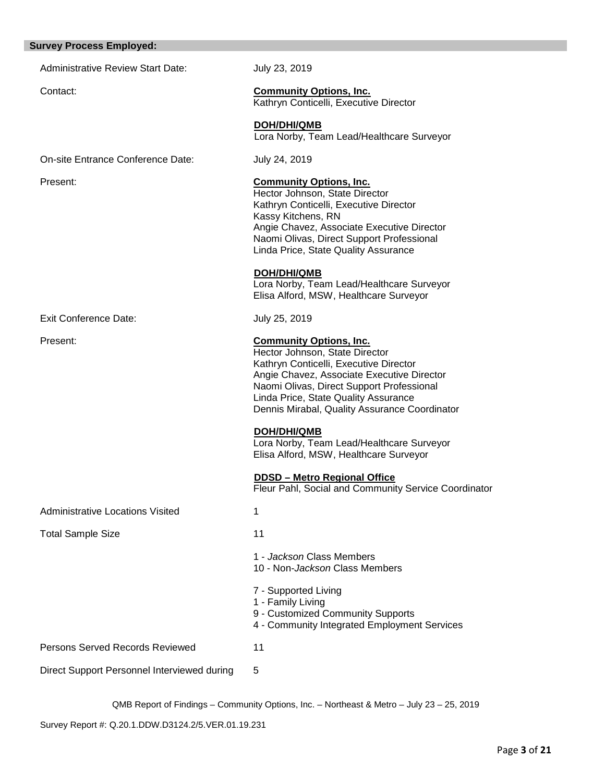| <b>Survey Process Employed:</b>             |                                                                                                                                                                                                                                                                                                |
|---------------------------------------------|------------------------------------------------------------------------------------------------------------------------------------------------------------------------------------------------------------------------------------------------------------------------------------------------|
| <b>Administrative Review Start Date:</b>    | July 23, 2019                                                                                                                                                                                                                                                                                  |
| Contact:                                    | <b>Community Options, Inc.</b><br>Kathryn Conticelli, Executive Director                                                                                                                                                                                                                       |
|                                             | <b>DOH/DHI/QMB</b><br>Lora Norby, Team Lead/Healthcare Surveyor                                                                                                                                                                                                                                |
| On-site Entrance Conference Date:           | July 24, 2019                                                                                                                                                                                                                                                                                  |
| Present:                                    | <b>Community Options, Inc.</b><br>Hector Johnson, State Director<br>Kathryn Conticelli, Executive Director<br>Kassy Kitchens, RN<br>Angie Chavez, Associate Executive Director<br>Naomi Olivas, Direct Support Professional<br>Linda Price, State Quality Assurance                            |
|                                             | <b>DOH/DHI/QMB</b><br>Lora Norby, Team Lead/Healthcare Surveyor<br>Elisa Alford, MSW, Healthcare Surveyor                                                                                                                                                                                      |
| <b>Exit Conference Date:</b>                | July 25, 2019                                                                                                                                                                                                                                                                                  |
| Present:                                    | <b>Community Options, Inc.</b><br>Hector Johnson, State Director<br>Kathryn Conticelli, Executive Director<br>Angie Chavez, Associate Executive Director<br>Naomi Olivas, Direct Support Professional<br>Linda Price, State Quality Assurance<br>Dennis Mirabal, Quality Assurance Coordinator |
|                                             | <b>DOH/DHI/QMB</b><br>Lora Norby, Team Lead/Healthcare Surveyor<br>Elisa Alford, MSW, Healthcare Surveyor                                                                                                                                                                                      |
|                                             | <b>DDSD - Metro Regional Office</b><br>Fleur Pahl, Social and Community Service Coordinator                                                                                                                                                                                                    |
| <b>Administrative Locations Visited</b>     | 1                                                                                                                                                                                                                                                                                              |
| <b>Total Sample Size</b>                    | 11                                                                                                                                                                                                                                                                                             |
|                                             | 1 - Jackson Class Members<br>10 - Non-Jackson Class Members                                                                                                                                                                                                                                    |
|                                             | 7 - Supported Living<br>1 - Family Living<br>9 - Customized Community Supports<br>4 - Community Integrated Employment Services                                                                                                                                                                 |
| Persons Served Records Reviewed             | 11                                                                                                                                                                                                                                                                                             |
| Direct Support Personnel Interviewed during | 5                                                                                                                                                                                                                                                                                              |

Survey Report #: Q.20.1.DDW.D3124.2/5.VER.01.19.231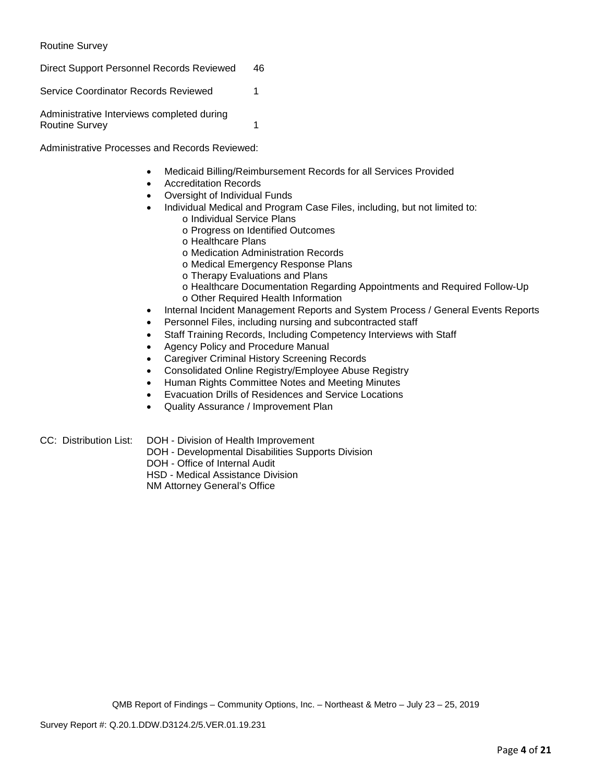Routine Survey

Direct Support Personnel Records Reviewed 46

Service Coordinator Records Reviewed 1

Administrative Interviews completed during Routine Survey 1

Administrative Processes and Records Reviewed:

- Medicaid Billing/Reimbursement Records for all Services Provided
- Accreditation Records
- Oversight of Individual Funds
	- Individual Medical and Program Case Files, including, but not limited to: o Individual Service Plans
		- o Progress on Identified Outcomes
		- o Healthcare Plans
		- o Medication Administration Records
		- o Medical Emergency Response Plans
		- o Therapy Evaluations and Plans
		- o Healthcare Documentation Regarding Appointments and Required Follow-Up o Other Required Health Information
- Internal Incident Management Reports and System Process / General Events Reports
- Personnel Files, including nursing and subcontracted staff
- Staff Training Records, Including Competency Interviews with Staff
- Agency Policy and Procedure Manual
- Caregiver Criminal History Screening Records
- Consolidated Online Registry/Employee Abuse Registry
- Human Rights Committee Notes and Meeting Minutes
- Evacuation Drills of Residences and Service Locations
- Quality Assurance / Improvement Plan
- CC: Distribution List: DOH Division of Health Improvement
	- DOH Developmental Disabilities Supports Division
		- DOH Office of Internal Audit

HSD - Medical Assistance Division

NM Attorney General's Office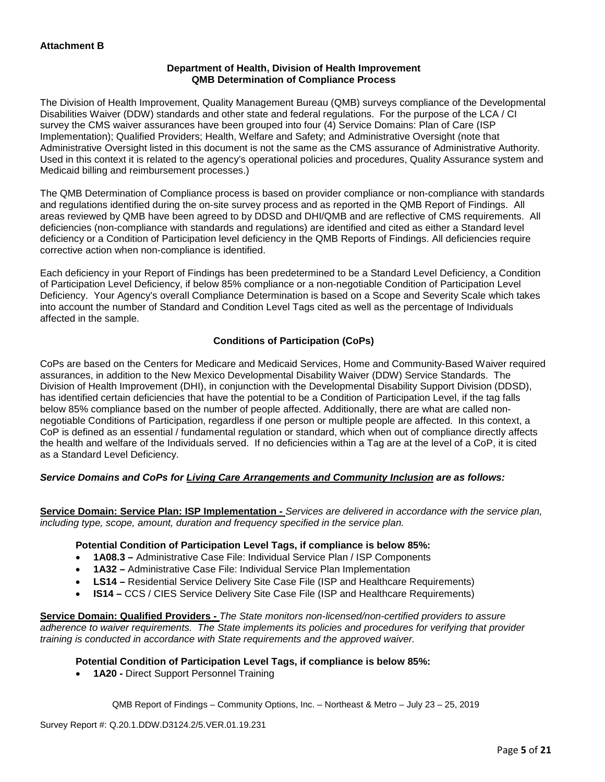### **Department of Health, Division of Health Improvement QMB Determination of Compliance Process**

The Division of Health Improvement, Quality Management Bureau (QMB) surveys compliance of the Developmental Disabilities Waiver (DDW) standards and other state and federal regulations. For the purpose of the LCA / CI survey the CMS waiver assurances have been grouped into four (4) Service Domains: Plan of Care (ISP Implementation); Qualified Providers; Health, Welfare and Safety; and Administrative Oversight (note that Administrative Oversight listed in this document is not the same as the CMS assurance of Administrative Authority. Used in this context it is related to the agency's operational policies and procedures, Quality Assurance system and Medicaid billing and reimbursement processes.)

The QMB Determination of Compliance process is based on provider compliance or non-compliance with standards and regulations identified during the on-site survey process and as reported in the QMB Report of Findings. All areas reviewed by QMB have been agreed to by DDSD and DHI/QMB and are reflective of CMS requirements. All deficiencies (non-compliance with standards and regulations) are identified and cited as either a Standard level deficiency or a Condition of Participation level deficiency in the QMB Reports of Findings. All deficiencies require corrective action when non-compliance is identified.

Each deficiency in your Report of Findings has been predetermined to be a Standard Level Deficiency, a Condition of Participation Level Deficiency, if below 85% compliance or a non-negotiable Condition of Participation Level Deficiency. Your Agency's overall Compliance Determination is based on a Scope and Severity Scale which takes into account the number of Standard and Condition Level Tags cited as well as the percentage of Individuals affected in the sample.

# **Conditions of Participation (CoPs)**

CoPs are based on the Centers for Medicare and Medicaid Services, Home and Community-Based Waiver required assurances, in addition to the New Mexico Developmental Disability Waiver (DDW) Service Standards. The Division of Health Improvement (DHI), in conjunction with the Developmental Disability Support Division (DDSD), has identified certain deficiencies that have the potential to be a Condition of Participation Level, if the tag falls below 85% compliance based on the number of people affected. Additionally, there are what are called nonnegotiable Conditions of Participation, regardless if one person or multiple people are affected. In this context, a CoP is defined as an essential / fundamental regulation or standard, which when out of compliance directly affects the health and welfare of the Individuals served. If no deficiencies within a Tag are at the level of a CoP, it is cited as a Standard Level Deficiency.

#### *Service Domains and CoPs for Living Care Arrangements and Community Inclusion are as follows:*

**Service Domain: Service Plan: ISP Implementation -** *Services are delivered in accordance with the service plan, including type, scope, amount, duration and frequency specified in the service plan.*

#### **Potential Condition of Participation Level Tags, if compliance is below 85%:**

- **1A08.3 –** Administrative Case File: Individual Service Plan / ISP Components
- **1A32 –** Administrative Case File: Individual Service Plan Implementation
- **LS14 –** Residential Service Delivery Site Case File (ISP and Healthcare Requirements)
- **IS14 –** CCS / CIES Service Delivery Site Case File (ISP and Healthcare Requirements)

**Service Domain: Qualified Providers -** *The State monitors non-licensed/non-certified providers to assure adherence to waiver requirements. The State implements its policies and procedures for verifying that provider training is conducted in accordance with State requirements and the approved waiver.*

#### **Potential Condition of Participation Level Tags, if compliance is below 85%:**

• **1A20 -** Direct Support Personnel Training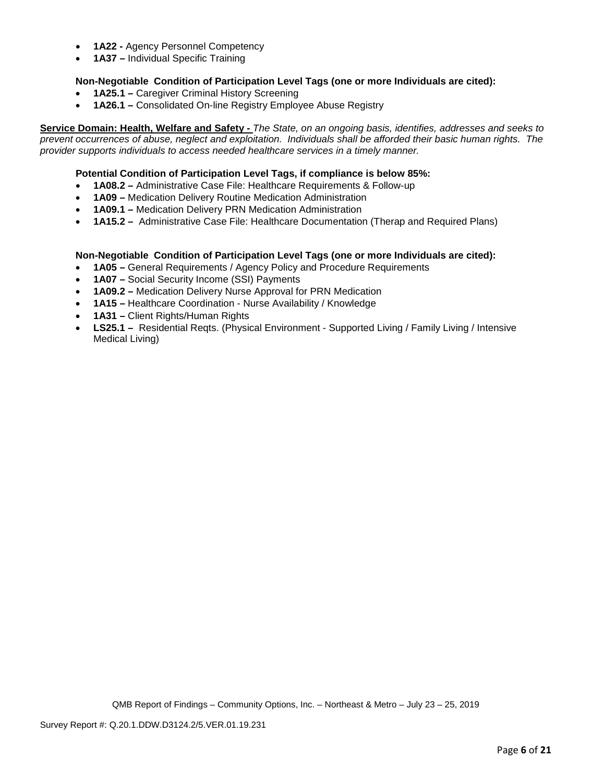- **1A22 -** Agency Personnel Competency
- **1A37 –** Individual Specific Training

### **Non-Negotiable Condition of Participation Level Tags (one or more Individuals are cited):**

- **1A25.1 –** Caregiver Criminal History Screening
- **1A26.1 –** Consolidated On-line Registry Employee Abuse Registry

**Service Domain: Health, Welfare and Safety -** *The State, on an ongoing basis, identifies, addresses and seeks to prevent occurrences of abuse, neglect and exploitation. Individuals shall be afforded their basic human rights. The provider supports individuals to access needed healthcare services in a timely manner.*

### **Potential Condition of Participation Level Tags, if compliance is below 85%:**

- **1A08.2 –** Administrative Case File: Healthcare Requirements & Follow-up
- **1A09 –** Medication Delivery Routine Medication Administration
- **1A09.1 –** Medication Delivery PRN Medication Administration
- **1A15.2 –** Administrative Case File: Healthcare Documentation (Therap and Required Plans)

#### **Non-Negotiable Condition of Participation Level Tags (one or more Individuals are cited):**

- **1A05 –** General Requirements / Agency Policy and Procedure Requirements
- **1A07 –** Social Security Income (SSI) Payments
- **1A09.2 –** Medication Delivery Nurse Approval for PRN Medication
- **1A15 –** Healthcare Coordination Nurse Availability / Knowledge
- **1A31 –** Client Rights/Human Rights
- **LS25.1 –** Residential Reqts. (Physical Environment Supported Living / Family Living / Intensive Medical Living)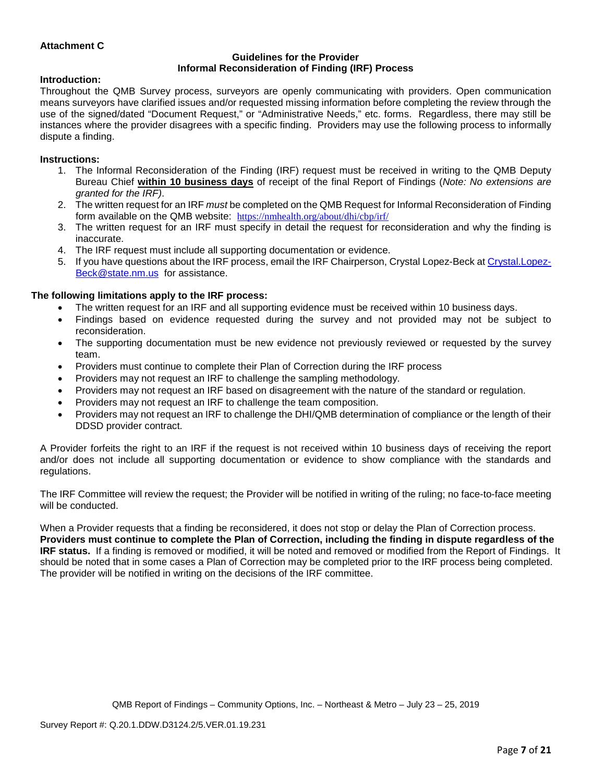### **Attachment C**

#### **Guidelines for the Provider Informal Reconsideration of Finding (IRF) Process**

#### **Introduction:**

Throughout the QMB Survey process, surveyors are openly communicating with providers. Open communication means surveyors have clarified issues and/or requested missing information before completing the review through the use of the signed/dated "Document Request," or "Administrative Needs," etc. forms. Regardless, there may still be instances where the provider disagrees with a specific finding. Providers may use the following process to informally dispute a finding.

### **Instructions:**

- 1. The Informal Reconsideration of the Finding (IRF) request must be received in writing to the QMB Deputy Bureau Chief **within 10 business days** of receipt of the final Report of Findings (*Note: No extensions are granted for the IRF)*.
- 2. The written request for an IRF *must* be completed on the QMB Request for Informal Reconsideration of Finding form available on the QMB website: <https://nmhealth.org/about/dhi/cbp/irf/>
- 3. The written request for an IRF must specify in detail the request for reconsideration and why the finding is inaccurate.
- 4. The IRF request must include all supporting documentation or evidence.
- 5. If you have questions about the IRF process, email the IRF Chairperson, Crystal Lopez-Beck a[t Crystal.Lopez-](mailto:Crystal.Lopez-Beck@state.nm.us)[Beck@state.nm.us](mailto:Crystal.Lopez-Beck@state.nm.us) for assistance.

### **The following limitations apply to the IRF process:**

- The written request for an IRF and all supporting evidence must be received within 10 business days.
- Findings based on evidence requested during the survey and not provided may not be subject to reconsideration.
- The supporting documentation must be new evidence not previously reviewed or requested by the survey team.
- Providers must continue to complete their Plan of Correction during the IRF process
- Providers may not request an IRF to challenge the sampling methodology.
- Providers may not request an IRF based on disagreement with the nature of the standard or regulation.
- Providers may not request an IRF to challenge the team composition.
- Providers may not request an IRF to challenge the DHI/QMB determination of compliance or the length of their DDSD provider contract.

A Provider forfeits the right to an IRF if the request is not received within 10 business days of receiving the report and/or does not include all supporting documentation or evidence to show compliance with the standards and regulations.

The IRF Committee will review the request; the Provider will be notified in writing of the ruling; no face-to-face meeting will be conducted.

When a Provider requests that a finding be reconsidered, it does not stop or delay the Plan of Correction process. **Providers must continue to complete the Plan of Correction, including the finding in dispute regardless of the IRF status.** If a finding is removed or modified, it will be noted and removed or modified from the Report of Findings. It should be noted that in some cases a Plan of Correction may be completed prior to the IRF process being completed. The provider will be notified in writing on the decisions of the IRF committee.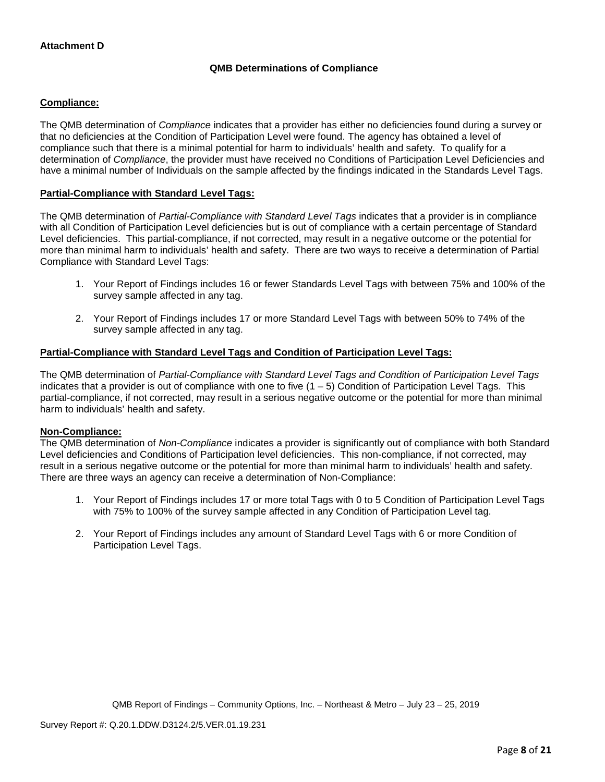# **QMB Determinations of Compliance**

### **Compliance:**

The QMB determination of *Compliance* indicates that a provider has either no deficiencies found during a survey or that no deficiencies at the Condition of Participation Level were found. The agency has obtained a level of compliance such that there is a minimal potential for harm to individuals' health and safety. To qualify for a determination of *Compliance*, the provider must have received no Conditions of Participation Level Deficiencies and have a minimal number of Individuals on the sample affected by the findings indicated in the Standards Level Tags.

### **Partial-Compliance with Standard Level Tags:**

The QMB determination of *Partial-Compliance with Standard Level Tags* indicates that a provider is in compliance with all Condition of Participation Level deficiencies but is out of compliance with a certain percentage of Standard Level deficiencies. This partial-compliance, if not corrected, may result in a negative outcome or the potential for more than minimal harm to individuals' health and safety. There are two ways to receive a determination of Partial Compliance with Standard Level Tags:

- 1. Your Report of Findings includes 16 or fewer Standards Level Tags with between 75% and 100% of the survey sample affected in any tag.
- 2. Your Report of Findings includes 17 or more Standard Level Tags with between 50% to 74% of the survey sample affected in any tag.

#### **Partial-Compliance with Standard Level Tags and Condition of Participation Level Tags:**

The QMB determination of *Partial-Compliance with Standard Level Tags and Condition of Participation Level Tags*  indicates that a provider is out of compliance with one to five  $(1 - 5)$  Condition of Participation Level Tags. This partial-compliance, if not corrected, may result in a serious negative outcome or the potential for more than minimal harm to individuals' health and safety.

#### **Non-Compliance:**

The QMB determination of *Non-Compliance* indicates a provider is significantly out of compliance with both Standard Level deficiencies and Conditions of Participation level deficiencies. This non-compliance, if not corrected, may result in a serious negative outcome or the potential for more than minimal harm to individuals' health and safety. There are three ways an agency can receive a determination of Non-Compliance:

- 1. Your Report of Findings includes 17 or more total Tags with 0 to 5 Condition of Participation Level Tags with 75% to 100% of the survey sample affected in any Condition of Participation Level tag.
- 2. Your Report of Findings includes any amount of Standard Level Tags with 6 or more Condition of Participation Level Tags.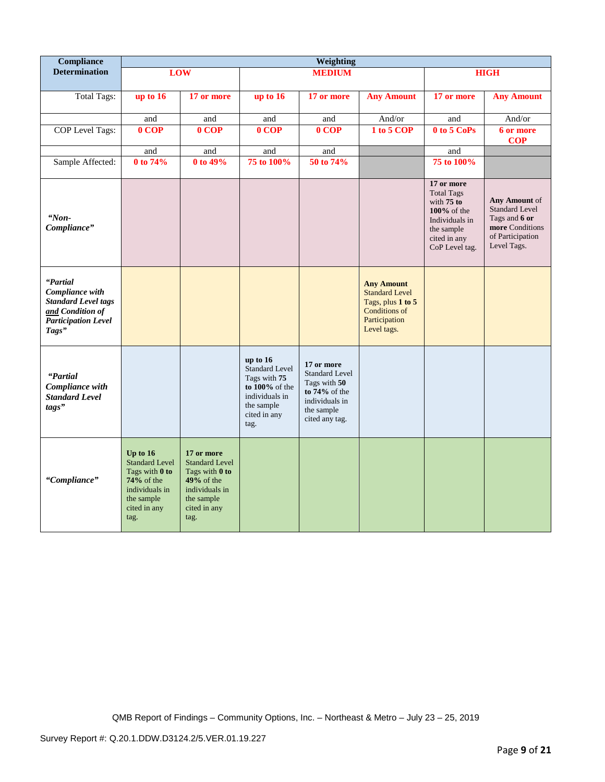| <b>Compliance</b>                                                                                                    | Weighting                                                                                                                     |                                                                                                                               |                                                                                                                                |                                                                                                                           |                                                                                                                  |                                                                                                                                     |                                                                                                               |
|----------------------------------------------------------------------------------------------------------------------|-------------------------------------------------------------------------------------------------------------------------------|-------------------------------------------------------------------------------------------------------------------------------|--------------------------------------------------------------------------------------------------------------------------------|---------------------------------------------------------------------------------------------------------------------------|------------------------------------------------------------------------------------------------------------------|-------------------------------------------------------------------------------------------------------------------------------------|---------------------------------------------------------------------------------------------------------------|
| <b>Determination</b>                                                                                                 |                                                                                                                               | <b>LOW</b>                                                                                                                    |                                                                                                                                | <b>MEDIUM</b>                                                                                                             |                                                                                                                  |                                                                                                                                     | <b>HIGH</b>                                                                                                   |
| <b>Total Tags:</b>                                                                                                   | up to $16$                                                                                                                    | 17 or more                                                                                                                    | up to 16                                                                                                                       | 17 or more                                                                                                                | <b>Any Amount</b>                                                                                                | 17 or more                                                                                                                          | <b>Any Amount</b>                                                                                             |
|                                                                                                                      | and                                                                                                                           | and                                                                                                                           | and                                                                                                                            | and                                                                                                                       | And/or                                                                                                           | and                                                                                                                                 | And/or                                                                                                        |
| COP Level Tags:                                                                                                      | 0 COP                                                                                                                         | 0 COP                                                                                                                         | $0$ COP                                                                                                                        | 0 COP                                                                                                                     | $\overline{1}$ to 5 COP                                                                                          | 0 to 5 CoPs                                                                                                                         | 6 or more<br><b>COP</b>                                                                                       |
|                                                                                                                      | and                                                                                                                           | and                                                                                                                           | and                                                                                                                            | and                                                                                                                       |                                                                                                                  | and                                                                                                                                 |                                                                                                               |
| Sample Affected:                                                                                                     | 0 to 74%                                                                                                                      | 0 to 49%                                                                                                                      | 75 to 100%                                                                                                                     | 50 to 74%                                                                                                                 |                                                                                                                  | 75 to 100%                                                                                                                          |                                                                                                               |
| "Non-<br>Compliance"                                                                                                 |                                                                                                                               |                                                                                                                               |                                                                                                                                |                                                                                                                           |                                                                                                                  | 17 or more<br><b>Total Tags</b><br>with $75$ to<br>$100\%$ of the<br>Individuals in<br>the sample<br>cited in any<br>CoP Level tag. | Any Amount of<br><b>Standard Level</b><br>Tags and 6 or<br>more Conditions<br>of Participation<br>Level Tags. |
| "Partial<br>Compliance with<br><b>Standard Level tags</b><br>and Condition of<br><b>Participation Level</b><br>Tags" |                                                                                                                               |                                                                                                                               |                                                                                                                                |                                                                                                                           | <b>Any Amount</b><br><b>Standard Level</b><br>Tags, plus 1 to 5<br>Conditions of<br>Participation<br>Level tags. |                                                                                                                                     |                                                                                                               |
| "Partial<br>Compliance with<br><b>Standard Level</b><br>tags"                                                        |                                                                                                                               |                                                                                                                               | up to 16<br><b>Standard Level</b><br>Tags with 75<br>to $100\%$ of the<br>individuals in<br>the sample<br>cited in any<br>tag. | 17 or more<br><b>Standard Level</b><br>Tags with 50<br>to $74\%$ of the<br>individuals in<br>the sample<br>cited any tag. |                                                                                                                  |                                                                                                                                     |                                                                                                               |
| "Compliance"                                                                                                         | Up to $16$<br><b>Standard Level</b><br>Tags with 0 to<br>$74%$ of the<br>individuals in<br>the sample<br>cited in any<br>tag. | 17 or more<br><b>Standard Level</b><br>Tags with 0 to<br>$49%$ of the<br>individuals in<br>the sample<br>cited in any<br>tag. |                                                                                                                                |                                                                                                                           |                                                                                                                  |                                                                                                                                     |                                                                                                               |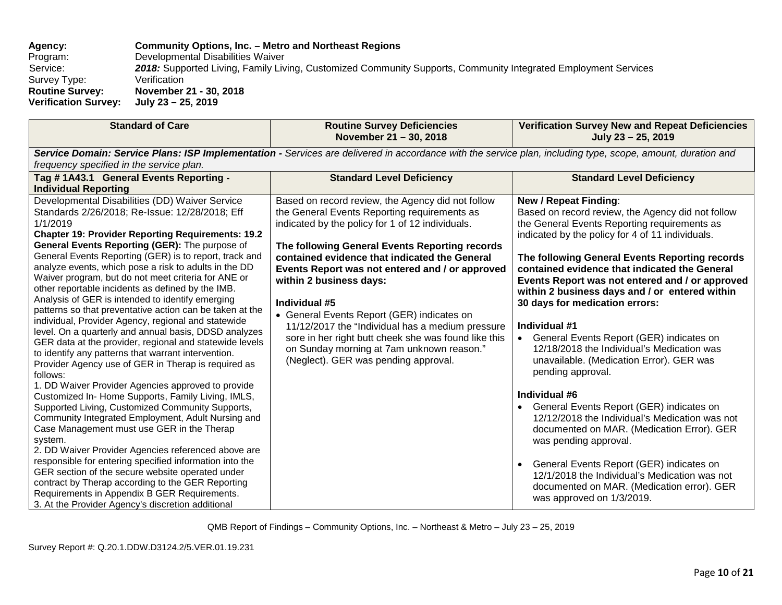**Agency: Community Options, Inc. – Metro and Northeast Regions** Program: Developmental Disabilities Waiver<br>Service: 2018: Supported Living, Family Liv **2018:** Supported Living, Family Living, Customized Community Supports, Community Integrated Employment Services<br>Verification Survey Type:<br>Routine Survey: **Rovember 21 - 30, 2018**<br>July 23 - 25, 2019 **Verification Survey:** 

| <b>Standard of Care</b>                                                                                                                                                                                                                                                                                                                                                                                                                                                                                                                                                                                                                                                                                                                                                                                                                                                                                                                                                                                                                                                                                                                                                                                                                                                                                                                                                                                                                                                                       | <b>Routine Survey Deficiencies</b><br>November 21 - 30, 2018                                                                                                                                                                                                                                                                                                                                                                                                                                                                                                                                           | <b>Verification Survey New and Repeat Deficiencies</b><br>July 23 - 25, 2019                                                                                                                                                                                                                                                                                                                                                                                                                                                                                                                                                                                                                                                                                                                                                                                                                                                                                                |  |  |  |
|-----------------------------------------------------------------------------------------------------------------------------------------------------------------------------------------------------------------------------------------------------------------------------------------------------------------------------------------------------------------------------------------------------------------------------------------------------------------------------------------------------------------------------------------------------------------------------------------------------------------------------------------------------------------------------------------------------------------------------------------------------------------------------------------------------------------------------------------------------------------------------------------------------------------------------------------------------------------------------------------------------------------------------------------------------------------------------------------------------------------------------------------------------------------------------------------------------------------------------------------------------------------------------------------------------------------------------------------------------------------------------------------------------------------------------------------------------------------------------------------------|--------------------------------------------------------------------------------------------------------------------------------------------------------------------------------------------------------------------------------------------------------------------------------------------------------------------------------------------------------------------------------------------------------------------------------------------------------------------------------------------------------------------------------------------------------------------------------------------------------|-----------------------------------------------------------------------------------------------------------------------------------------------------------------------------------------------------------------------------------------------------------------------------------------------------------------------------------------------------------------------------------------------------------------------------------------------------------------------------------------------------------------------------------------------------------------------------------------------------------------------------------------------------------------------------------------------------------------------------------------------------------------------------------------------------------------------------------------------------------------------------------------------------------------------------------------------------------------------------|--|--|--|
| Service Domain: Service Plans: ISP Implementation - Services are delivered in accordance with the service plan, including type, scope, amount, duration and<br>frequency specified in the service plan.                                                                                                                                                                                                                                                                                                                                                                                                                                                                                                                                                                                                                                                                                                                                                                                                                                                                                                                                                                                                                                                                                                                                                                                                                                                                                       |                                                                                                                                                                                                                                                                                                                                                                                                                                                                                                                                                                                                        |                                                                                                                                                                                                                                                                                                                                                                                                                                                                                                                                                                                                                                                                                                                                                                                                                                                                                                                                                                             |  |  |  |
| Tag #1A43.1 General Events Reporting -<br><b>Individual Reporting</b>                                                                                                                                                                                                                                                                                                                                                                                                                                                                                                                                                                                                                                                                                                                                                                                                                                                                                                                                                                                                                                                                                                                                                                                                                                                                                                                                                                                                                         | <b>Standard Level Deficiency</b>                                                                                                                                                                                                                                                                                                                                                                                                                                                                                                                                                                       | <b>Standard Level Deficiency</b>                                                                                                                                                                                                                                                                                                                                                                                                                                                                                                                                                                                                                                                                                                                                                                                                                                                                                                                                            |  |  |  |
| Developmental Disabilities (DD) Waiver Service<br>Standards 2/26/2018; Re-Issue: 12/28/2018; Eff<br>1/1/2019<br><b>Chapter 19: Provider Reporting Requirements: 19.2</b><br>General Events Reporting (GER): The purpose of<br>General Events Reporting (GER) is to report, track and<br>analyze events, which pose a risk to adults in the DD<br>Waiver program, but do not meet criteria for ANE or<br>other reportable incidents as defined by the IMB.<br>Analysis of GER is intended to identify emerging<br>patterns so that preventative action can be taken at the<br>individual, Provider Agency, regional and statewide<br>level. On a quarterly and annual basis, DDSD analyzes<br>GER data at the provider, regional and statewide levels<br>to identify any patterns that warrant intervention.<br>Provider Agency use of GER in Therap is required as<br>follows:<br>1. DD Waiver Provider Agencies approved to provide<br>Customized In- Home Supports, Family Living, IMLS,<br>Supported Living, Customized Community Supports,<br>Community Integrated Employment, Adult Nursing and<br>Case Management must use GER in the Therap<br>system.<br>2. DD Waiver Provider Agencies referenced above are<br>responsible for entering specified information into the<br>GER section of the secure website operated under<br>contract by Therap according to the GER Reporting<br>Requirements in Appendix B GER Requirements.<br>3. At the Provider Agency's discretion additional | Based on record review, the Agency did not follow<br>the General Events Reporting requirements as<br>indicated by the policy for 1 of 12 individuals.<br>The following General Events Reporting records<br>contained evidence that indicated the General<br>Events Report was not entered and / or approved<br>within 2 business days:<br>Individual #5<br>• General Events Report (GER) indicates on<br>11/12/2017 the "Individual has a medium pressure<br>sore in her right butt cheek she was found like this<br>on Sunday morning at 7am unknown reason."<br>(Neglect). GER was pending approval. | <b>New / Repeat Finding:</b><br>Based on record review, the Agency did not follow<br>the General Events Reporting requirements as<br>indicated by the policy for 4 of 11 individuals.<br>The following General Events Reporting records<br>contained evidence that indicated the General<br>Events Report was not entered and / or approved<br>within 2 business days and / or entered within<br>30 days for medication errors:<br>Individual #1<br>• General Events Report (GER) indicates on<br>12/18/2018 the Individual's Medication was<br>unavailable. (Medication Error). GER was<br>pending approval.<br>Individual #6<br>General Events Report (GER) indicates on<br>12/12/2018 the Individual's Medication was not<br>documented on MAR. (Medication Error). GER<br>was pending approval.<br>General Events Report (GER) indicates on<br>12/1/2018 the Individual's Medication was not<br>documented on MAR. (Medication error). GER<br>was approved on 1/3/2019. |  |  |  |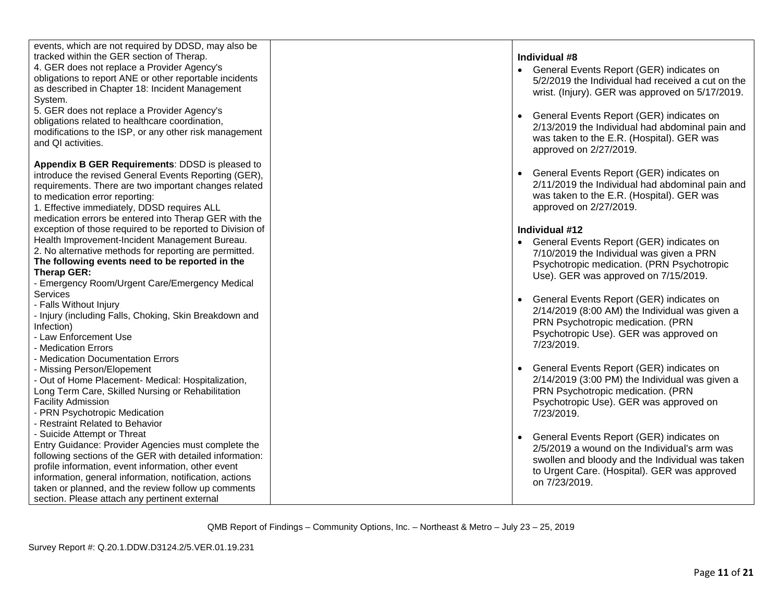| events, which are not required by DDSD, may also be       |                                                   |
|-----------------------------------------------------------|---------------------------------------------------|
| tracked within the GER section of Therap.                 |                                                   |
|                                                           | Individual #8                                     |
| 4. GER does not replace a Provider Agency's               | General Events Report (GER) indicates on          |
| obligations to report ANE or other reportable incidents   | 5/2/2019 the Individual had received a cut on the |
| as described in Chapter 18: Incident Management           | wrist. (Injury). GER was approved on 5/17/2019.   |
| System.                                                   |                                                   |
| 5. GER does not replace a Provider Agency's               | General Events Report (GER) indicates on          |
| obligations related to healthcare coordination,           | 2/13/2019 the Individual had abdominal pain and   |
| modifications to the ISP, or any other risk management    |                                                   |
| and QI activities.                                        | was taken to the E.R. (Hospital). GER was         |
|                                                           | approved on 2/27/2019.                            |
| Appendix B GER Requirements: DDSD is pleased to           |                                                   |
| introduce the revised General Events Reporting (GER),     | General Events Report (GER) indicates on          |
| requirements. There are two important changes related     | 2/11/2019 the Individual had abdominal pain and   |
| to medication error reporting:                            | was taken to the E.R. (Hospital). GER was         |
| 1. Effective immediately, DDSD requires ALL               | approved on 2/27/2019.                            |
| medication errors be entered into Therap GER with the     |                                                   |
| exception of those required to be reported to Division of | Individual #12                                    |
| Health Improvement-Incident Management Bureau.            |                                                   |
| 2. No alternative methods for reporting are permitted.    | General Events Report (GER) indicates on          |
| The following events need to be reported in the           | 7/10/2019 the Individual was given a PRN          |
|                                                           | Psychotropic medication. (PRN Psychotropic        |
| Therap GER:                                               | Use). GER was approved on 7/15/2019.              |
| - Emergency Room/Urgent Care/Emergency Medical            |                                                   |
| Services                                                  | General Events Report (GER) indicates on          |
| - Falls Without Injury                                    | 2/14/2019 (8:00 AM) the Individual was given a    |
| - Injury (including Falls, Choking, Skin Breakdown and    | PRN Psychotropic medication. (PRN                 |
| Infection)                                                | Psychotropic Use). GER was approved on            |
| - Law Enforcement Use                                     | 7/23/2019.                                        |
| - Medication Errors                                       |                                                   |
| - Medication Documentation Errors                         |                                                   |
| - Missing Person/Elopement                                | General Events Report (GER) indicates on          |
| - Out of Home Placement- Medical: Hospitalization,        | 2/14/2019 (3:00 PM) the Individual was given a    |
| Long Term Care, Skilled Nursing or Rehabilitation         | PRN Psychotropic medication. (PRN                 |
| <b>Facility Admission</b>                                 | Psychotropic Use). GER was approved on            |
| - PRN Psychotropic Medication                             | 7/23/2019.                                        |
| <b>Restraint Related to Behavior</b>                      |                                                   |
| - Suicide Attempt or Threat                               | General Events Report (GER) indicates on          |
| Entry Guidance: Provider Agencies must complete the       | 2/5/2019 a wound on the Individual's arm was      |
| following sections of the GER with detailed information:  | swollen and bloody and the Individual was taken   |
| profile information, event information, other event       | to Urgent Care. (Hospital). GER was approved      |
| information, general information, notification, actions   | on 7/23/2019.                                     |
| taken or planned, and the review follow up comments       |                                                   |
| section. Please attach any pertinent external             |                                                   |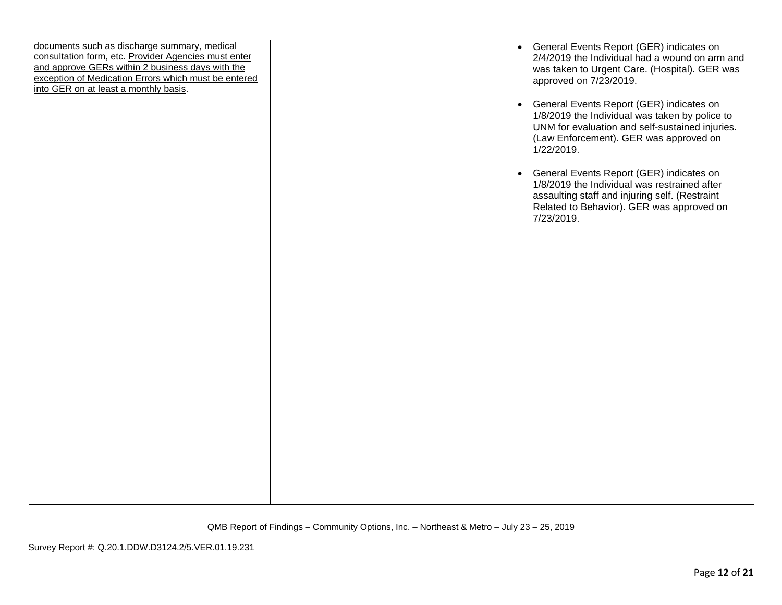| documents such as discharge summary, medical<br>consultation form, etc. Provider Agencies must enter<br>and approve GERs within 2 business days with the<br>exception of Medication Errors which must be entered<br>into GER on at least a monthly basis. | • General Events Report (GER) indicates on<br>2/4/2019 the Individual had a wound on arm and<br>was taken to Urgent Care. (Hospital). GER was<br>approved on 7/23/2019.<br>General Events Report (GER) indicates on<br>$\bullet$<br>1/8/2019 the Individual was taken by police to<br>UNM for evaluation and self-sustained injuries.<br>(Law Enforcement). GER was approved on<br>$1/22/2019$ .<br>General Events Report (GER) indicates on<br>$\bullet$<br>1/8/2019 the Individual was restrained after<br>assaulting staff and injuring self. (Restraint<br>Related to Behavior). GER was approved on<br>7/23/2019. |
|-----------------------------------------------------------------------------------------------------------------------------------------------------------------------------------------------------------------------------------------------------------|------------------------------------------------------------------------------------------------------------------------------------------------------------------------------------------------------------------------------------------------------------------------------------------------------------------------------------------------------------------------------------------------------------------------------------------------------------------------------------------------------------------------------------------------------------------------------------------------------------------------|
|                                                                                                                                                                                                                                                           |                                                                                                                                                                                                                                                                                                                                                                                                                                                                                                                                                                                                                        |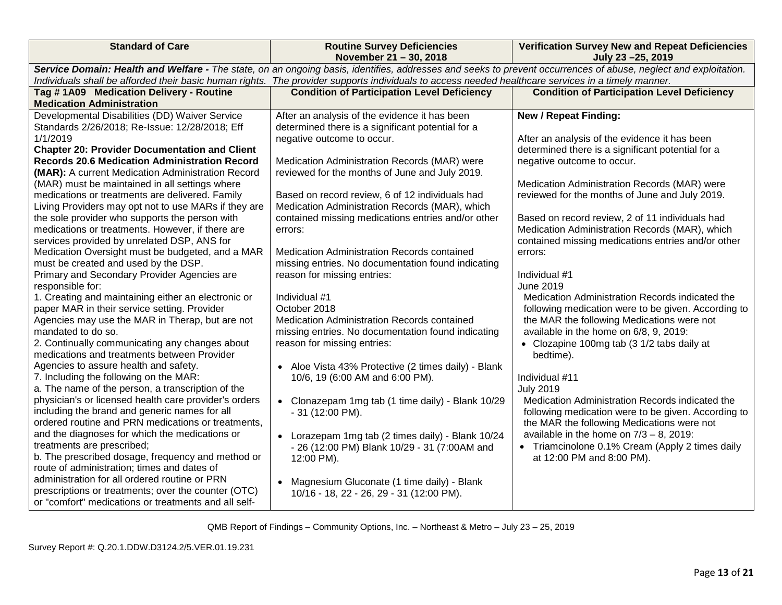| <b>Standard of Care</b>                                                                                                                                                                                                                                                                                               | <b>Routine Survey Deficiencies</b><br>November 21 - 30, 2018 | <b>Verification Survey New and Repeat Deficiencies</b><br>July 23-25, 2019 |  |  |  |
|-----------------------------------------------------------------------------------------------------------------------------------------------------------------------------------------------------------------------------------------------------------------------------------------------------------------------|--------------------------------------------------------------|----------------------------------------------------------------------------|--|--|--|
| Service Domain: Health and Welfare - The state, on an ongoing basis, identifies, addresses and seeks to prevent occurrences of abuse, neglect and exploitation.<br>Individuals shall be afforded their basic human rights. The provider supports individuals to access needed healthcare services in a timely manner. |                                                              |                                                                            |  |  |  |
| Tag #1A09 Medication Delivery - Routine                                                                                                                                                                                                                                                                               | <b>Condition of Participation Level Deficiency</b>           | <b>Condition of Participation Level Deficiency</b>                         |  |  |  |
| <b>Medication Administration</b>                                                                                                                                                                                                                                                                                      |                                                              |                                                                            |  |  |  |
| Developmental Disabilities (DD) Waiver Service                                                                                                                                                                                                                                                                        | After an analysis of the evidence it has been                | <b>New / Repeat Finding:</b>                                               |  |  |  |
| Standards 2/26/2018; Re-Issue: 12/28/2018; Eff                                                                                                                                                                                                                                                                        | determined there is a significant potential for a            |                                                                            |  |  |  |
| 1/1/2019                                                                                                                                                                                                                                                                                                              | negative outcome to occur.                                   | After an analysis of the evidence it has been                              |  |  |  |
| <b>Chapter 20: Provider Documentation and Client</b>                                                                                                                                                                                                                                                                  |                                                              | determined there is a significant potential for a                          |  |  |  |
| <b>Records 20.6 Medication Administration Record</b>                                                                                                                                                                                                                                                                  | Medication Administration Records (MAR) were                 | negative outcome to occur.                                                 |  |  |  |
| (MAR): A current Medication Administration Record                                                                                                                                                                                                                                                                     | reviewed for the months of June and July 2019.               |                                                                            |  |  |  |
| (MAR) must be maintained in all settings where                                                                                                                                                                                                                                                                        |                                                              | Medication Administration Records (MAR) were                               |  |  |  |
| medications or treatments are delivered. Family                                                                                                                                                                                                                                                                       | Based on record review, 6 of 12 individuals had              | reviewed for the months of June and July 2019.                             |  |  |  |
| Living Providers may opt not to use MARs if they are                                                                                                                                                                                                                                                                  | Medication Administration Records (MAR), which               |                                                                            |  |  |  |
| the sole provider who supports the person with                                                                                                                                                                                                                                                                        | contained missing medications entries and/or other           | Based on record review, 2 of 11 individuals had                            |  |  |  |
| medications or treatments. However, if there are                                                                                                                                                                                                                                                                      | errors:                                                      | Medication Administration Records (MAR), which                             |  |  |  |
| services provided by unrelated DSP, ANS for                                                                                                                                                                                                                                                                           |                                                              | contained missing medications entries and/or other                         |  |  |  |
| Medication Oversight must be budgeted, and a MAR                                                                                                                                                                                                                                                                      | Medication Administration Records contained                  | errors:                                                                    |  |  |  |
| must be created and used by the DSP.                                                                                                                                                                                                                                                                                  | missing entries. No documentation found indicating           | Individual #1                                                              |  |  |  |
| Primary and Secondary Provider Agencies are<br>responsible for:                                                                                                                                                                                                                                                       | reason for missing entries:                                  | <b>June 2019</b>                                                           |  |  |  |
| 1. Creating and maintaining either an electronic or                                                                                                                                                                                                                                                                   | Individual #1                                                | Medication Administration Records indicated the                            |  |  |  |
| paper MAR in their service setting. Provider                                                                                                                                                                                                                                                                          | October 2018                                                 | following medication were to be given. According to                        |  |  |  |
| Agencies may use the MAR in Therap, but are not                                                                                                                                                                                                                                                                       | Medication Administration Records contained                  | the MAR the following Medications were not                                 |  |  |  |
| mandated to do so.                                                                                                                                                                                                                                                                                                    | missing entries. No documentation found indicating           | available in the home on 6/8, 9, 2019:                                     |  |  |  |
| 2. Continually communicating any changes about                                                                                                                                                                                                                                                                        | reason for missing entries:                                  | • Clozapine 100mg tab (3 1/2 tabs daily at                                 |  |  |  |
| medications and treatments between Provider                                                                                                                                                                                                                                                                           |                                                              | bedtime).                                                                  |  |  |  |
| Agencies to assure health and safety.                                                                                                                                                                                                                                                                                 | • Aloe Vista 43% Protective (2 times daily) - Blank          |                                                                            |  |  |  |
| 7. Including the following on the MAR:                                                                                                                                                                                                                                                                                | 10/6, 19 (6:00 AM and 6:00 PM).                              | Individual #11                                                             |  |  |  |
| a. The name of the person, a transcription of the                                                                                                                                                                                                                                                                     |                                                              | <b>July 2019</b>                                                           |  |  |  |
| physician's or licensed health care provider's orders                                                                                                                                                                                                                                                                 | • Clonazepam 1mg tab (1 time daily) - Blank 10/29            | Medication Administration Records indicated the                            |  |  |  |
| including the brand and generic names for all                                                                                                                                                                                                                                                                         | - 31 (12:00 PM).                                             | following medication were to be given. According to                        |  |  |  |
| ordered routine and PRN medications or treatments,                                                                                                                                                                                                                                                                    |                                                              | the MAR the following Medications were not                                 |  |  |  |
| and the diagnoses for which the medications or                                                                                                                                                                                                                                                                        | • Lorazepam 1mg tab (2 times daily) - Blank 10/24            | available in the home on $7/3 - 8$ , 2019:                                 |  |  |  |
| treatments are prescribed;                                                                                                                                                                                                                                                                                            | - 26 (12:00 PM) Blank 10/29 - 31 (7:00AM and                 | • Triamcinolone 0.1% Cream (Apply 2 times daily                            |  |  |  |
| b. The prescribed dosage, frequency and method or                                                                                                                                                                                                                                                                     | 12:00 PM).                                                   | at 12:00 PM and 8:00 PM).                                                  |  |  |  |
| route of administration; times and dates of                                                                                                                                                                                                                                                                           |                                                              |                                                                            |  |  |  |
| administration for all ordered routine or PRN                                                                                                                                                                                                                                                                         | • Magnesium Gluconate (1 time daily) - Blank                 |                                                                            |  |  |  |
| prescriptions or treatments; over the counter (OTC)                                                                                                                                                                                                                                                                   | 10/16 - 18, 22 - 26, 29 - 31 (12:00 PM).                     |                                                                            |  |  |  |
| or "comfort" medications or treatments and all self-                                                                                                                                                                                                                                                                  |                                                              |                                                                            |  |  |  |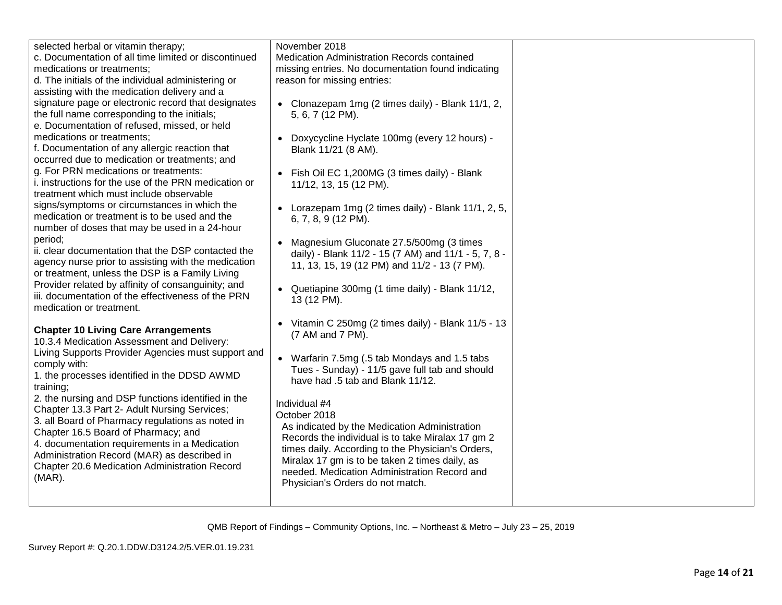| selected herbal or vitamin therapy;                  | November 2018                                          |  |
|------------------------------------------------------|--------------------------------------------------------|--|
| c. Documentation of all time limited or discontinued | Medication Administration Records contained            |  |
| medications or treatments;                           | missing entries. No documentation found indicating     |  |
| d. The initials of the individual administering or   | reason for missing entries:                            |  |
| assisting with the medication delivery and a         |                                                        |  |
| signature page or electronic record that designates  |                                                        |  |
| the full name corresponding to the initials;         | • Clonazepam 1mg (2 times daily) - Blank 11/1, 2,      |  |
|                                                      | 5, 6, 7 (12 PM).                                       |  |
| e. Documentation of refused, missed, or held         |                                                        |  |
| medications or treatments;                           | • Doxycycline Hyclate 100mg (every 12 hours) -         |  |
| f. Documentation of any allergic reaction that       | Blank 11/21 (8 AM).                                    |  |
| occurred due to medication or treatments; and        |                                                        |  |
| g. For PRN medications or treatments:                | • Fish Oil EC 1,200MG (3 times daily) - Blank          |  |
| i. instructions for the use of the PRN medication or | 11/12, 13, 15 (12 PM).                                 |  |
| treatment which must include observable              |                                                        |  |
| signs/symptoms or circumstances in which the         | • Lorazepam 1mg (2 times daily) - Blank $11/1$ , 2, 5, |  |
| medication or treatment is to be used and the        | 6, 7, 8, 9 (12 PM).                                    |  |
| number of doses that may be used in a 24-hour        |                                                        |  |
| period;                                              | • Magnesium Gluconate 27.5/500mg (3 times              |  |
| ii. clear documentation that the DSP contacted the   | daily) - Blank 11/2 - 15 (7 AM) and 11/1 - 5, 7, 8 -   |  |
| agency nurse prior to assisting with the medication  | 11, 13, 15, 19 (12 PM) and 11/2 - 13 (7 PM).           |  |
| or treatment, unless the DSP is a Family Living      |                                                        |  |
| Provider related by affinity of consanguinity; and   | • Quetiapine 300mg (1 time daily) - Blank 11/12,       |  |
| iii. documentation of the effectiveness of the PRN   | 13 (12 PM).                                            |  |
| medication or treatment.                             |                                                        |  |
|                                                      | • Vitamin C 250mg (2 times daily) - Blank 11/5 - 13    |  |
| <b>Chapter 10 Living Care Arrangements</b>           | (7 AM and 7 PM).                                       |  |
| 10.3.4 Medication Assessment and Delivery:           |                                                        |  |
| Living Supports Provider Agencies must support and   | • Warfarin 7.5mg (.5 tab Mondays and 1.5 tabs          |  |
| comply with:                                         | Tues - Sunday) - 11/5 gave full tab and should         |  |
| 1. the processes identified in the DDSD AWMD         | have had .5 tab and Blank 11/12.                       |  |
| training;                                            |                                                        |  |
| 2. the nursing and DSP functions identified in the   | Individual #4                                          |  |
| Chapter 13.3 Part 2- Adult Nursing Services;         | October 2018                                           |  |
| 3. all Board of Pharmacy regulations as noted in     | As indicated by the Medication Administration          |  |
| Chapter 16.5 Board of Pharmacy; and                  | Records the individual is to take Miralax 17 gm 2      |  |
| 4. documentation requirements in a Medication        | times daily. According to the Physician's Orders,      |  |
| Administration Record (MAR) as described in          | Miralax 17 gm is to be taken 2 times daily, as         |  |
| Chapter 20.6 Medication Administration Record        | needed. Medication Administration Record and           |  |
| $(MAR)$ .                                            | Physician's Orders do not match.                       |  |
|                                                      |                                                        |  |
|                                                      |                                                        |  |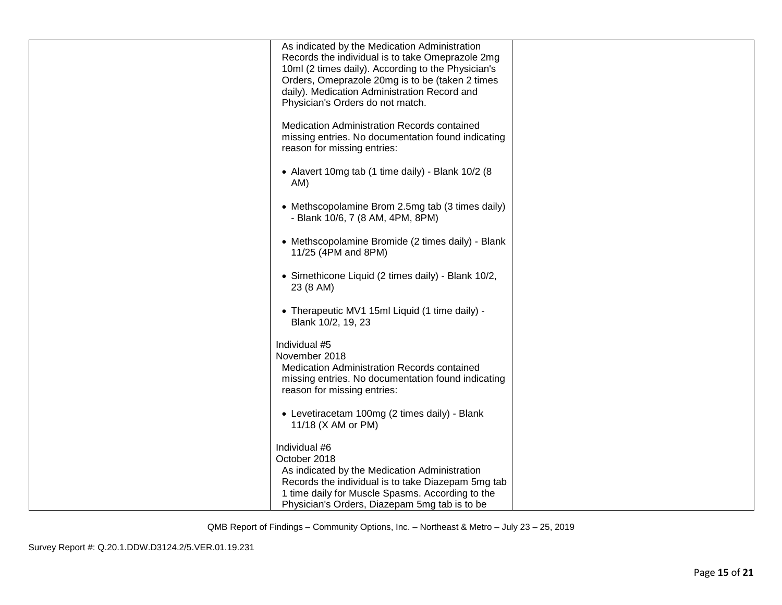| As indicated by the Medication Administration<br>Records the individual is to take Omeprazole 2mg |  |
|---------------------------------------------------------------------------------------------------|--|
| 10ml (2 times daily). According to the Physician's                                                |  |
| Orders, Omeprazole 20mg is to be (taken 2 times<br>daily). Medication Administration Record and   |  |
| Physician's Orders do not match.                                                                  |  |
| Medication Administration Records contained<br>missing entries. No documentation found indicating |  |
| reason for missing entries:                                                                       |  |
| • Alavert 10mg tab (1 time daily) - Blank 10/2 (8<br>AM)                                          |  |
| • Methscopolamine Brom 2.5mg tab (3 times daily)<br>- Blank 10/6, 7 (8 AM, 4PM, 8PM)              |  |
| • Methscopolamine Bromide (2 times daily) - Blank<br>11/25 (4PM and 8PM)                          |  |
| • Simethicone Liquid (2 times daily) - Blank 10/2,<br>23 (8 AM)                                   |  |
| • Therapeutic MV1 15ml Liquid (1 time daily) -<br>Blank 10/2, 19, 23                              |  |
| Individual #5                                                                                     |  |
| November 2018<br>Medication Administration Records contained                                      |  |
| missing entries. No documentation found indicating<br>reason for missing entries:                 |  |
| • Levetiracetam 100mg (2 times daily) - Blank                                                     |  |
| 11/18 (X AM or PM)                                                                                |  |
| Individual #6                                                                                     |  |
| October 2018<br>As indicated by the Medication Administration                                     |  |
| Records the individual is to take Diazepam 5mg tab                                                |  |
| 1 time daily for Muscle Spasms. According to the                                                  |  |
| Physician's Orders, Diazepam 5mg tab is to be                                                     |  |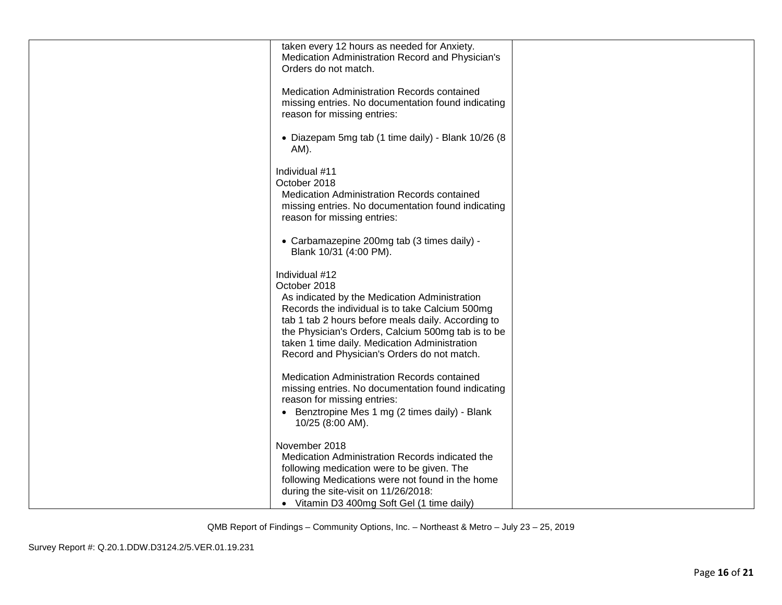| taken every 12 hours as needed for Anxiety.                                                                                                                                                                                                                                                                                                    |  |
|------------------------------------------------------------------------------------------------------------------------------------------------------------------------------------------------------------------------------------------------------------------------------------------------------------------------------------------------|--|
| Medication Administration Record and Physician's<br>Orders do not match.                                                                                                                                                                                                                                                                       |  |
| Medication Administration Records contained<br>missing entries. No documentation found indicating<br>reason for missing entries:                                                                                                                                                                                                               |  |
| • Diazepam 5mg tab (1 time daily) - Blank 10/26 (8<br>AM).                                                                                                                                                                                                                                                                                     |  |
| Individual #11<br>October 2018<br>Medication Administration Records contained<br>missing entries. No documentation found indicating<br>reason for missing entries:                                                                                                                                                                             |  |
| • Carbamazepine 200mg tab (3 times daily) -<br>Blank 10/31 (4:00 PM).                                                                                                                                                                                                                                                                          |  |
| Individual #12<br>October 2018<br>As indicated by the Medication Administration<br>Records the individual is to take Calcium 500mg<br>tab 1 tab 2 hours before meals daily. According to<br>the Physician's Orders, Calcium 500mg tab is to be<br>taken 1 time daily. Medication Administration<br>Record and Physician's Orders do not match. |  |
| Medication Administration Records contained<br>missing entries. No documentation found indicating<br>reason for missing entries:<br>• Benztropine Mes 1 mg (2 times daily) - Blank<br>10/25 (8:00 AM).                                                                                                                                         |  |
| November 2018<br>Medication Administration Records indicated the<br>following medication were to be given. The<br>following Medications were not found in the home<br>during the site-visit on 11/26/2018:<br>• Vitamin D3 400mg Soft Gel (1 time daily)                                                                                       |  |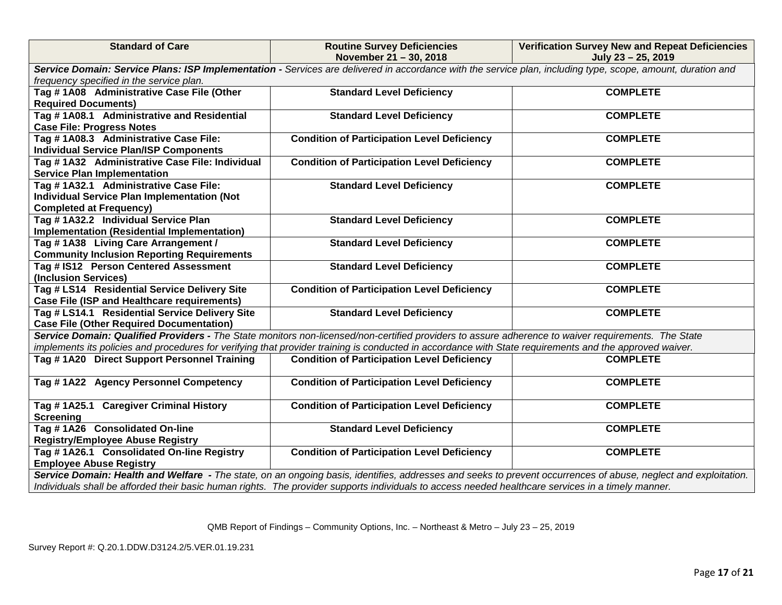| <b>Standard of Care</b>                                                                                                                                                                                                                                                                                               | <b>Routine Survey Deficiencies</b><br>November 21 - 30, 2018                                                                                        | <b>Verification Survey New and Repeat Deficiencies</b><br>July 23 - 25, 2019 |  |  |  |
|-----------------------------------------------------------------------------------------------------------------------------------------------------------------------------------------------------------------------------------------------------------------------------------------------------------------------|-----------------------------------------------------------------------------------------------------------------------------------------------------|------------------------------------------------------------------------------|--|--|--|
| Service Domain: Service Plans: ISP Implementation - Services are delivered in accordance with the service plan, including type, scope, amount, duration and<br>frequency specified in the service plan.                                                                                                               |                                                                                                                                                     |                                                                              |  |  |  |
| Tag #1A08 Administrative Case File (Other<br><b>Required Documents)</b>                                                                                                                                                                                                                                               | <b>Standard Level Deficiency</b>                                                                                                                    | <b>COMPLETE</b>                                                              |  |  |  |
| Tag #1A08.1 Administrative and Residential<br><b>Case File: Progress Notes</b>                                                                                                                                                                                                                                        | <b>Standard Level Deficiency</b>                                                                                                                    | <b>COMPLETE</b>                                                              |  |  |  |
| Tag #1A08.3 Administrative Case File:<br><b>Individual Service Plan/ISP Components</b>                                                                                                                                                                                                                                | <b>Condition of Participation Level Deficiency</b>                                                                                                  | <b>COMPLETE</b>                                                              |  |  |  |
| Tag #1A32 Administrative Case File: Individual<br><b>Service Plan Implementation</b>                                                                                                                                                                                                                                  | <b>Condition of Participation Level Deficiency</b>                                                                                                  | <b>COMPLETE</b>                                                              |  |  |  |
| Tag #1A32.1 Administrative Case File:<br><b>Individual Service Plan Implementation (Not</b><br><b>Completed at Frequency)</b>                                                                                                                                                                                         | <b>Standard Level Deficiency</b>                                                                                                                    | <b>COMPLETE</b>                                                              |  |  |  |
| Tag #1A32.2 Individual Service Plan<br>Implementation (Residential Implementation)                                                                                                                                                                                                                                    | <b>Standard Level Deficiency</b>                                                                                                                    | <b>COMPLETE</b>                                                              |  |  |  |
| Tag #1A38 Living Care Arrangement /<br><b>Community Inclusion Reporting Requirements</b>                                                                                                                                                                                                                              | <b>Standard Level Deficiency</b>                                                                                                                    | <b>COMPLETE</b>                                                              |  |  |  |
| Tag # IS12 Person Centered Assessment<br>(Inclusion Services)                                                                                                                                                                                                                                                         | <b>Standard Level Deficiency</b>                                                                                                                    | <b>COMPLETE</b>                                                              |  |  |  |
| Tag # LS14 Residential Service Delivery Site<br><b>Case File (ISP and Healthcare requirements)</b>                                                                                                                                                                                                                    | <b>Condition of Participation Level Deficiency</b>                                                                                                  | <b>COMPLETE</b>                                                              |  |  |  |
| Tag # LS14.1 Residential Service Delivery Site<br><b>Case File (Other Required Documentation)</b>                                                                                                                                                                                                                     | <b>Standard Level Deficiency</b>                                                                                                                    | <b>COMPLETE</b>                                                              |  |  |  |
| implements its policies and procedures for verifying that provider training is conducted in accordance with State requirements and the approved waiver.                                                                                                                                                               | Service Domain: Qualified Providers - The State monitors non-licensed/non-certified providers to assure adherence to waiver requirements. The State |                                                                              |  |  |  |
| Tag #1A20 Direct Support Personnel Training                                                                                                                                                                                                                                                                           | <b>Condition of Participation Level Deficiency</b>                                                                                                  | <b>COMPLETE</b>                                                              |  |  |  |
| Tag #1A22 Agency Personnel Competency                                                                                                                                                                                                                                                                                 | <b>Condition of Participation Level Deficiency</b>                                                                                                  | <b>COMPLETE</b>                                                              |  |  |  |
| Tag #1A25.1 Caregiver Criminal History<br><b>Screening</b>                                                                                                                                                                                                                                                            | <b>Condition of Participation Level Deficiency</b>                                                                                                  | <b>COMPLETE</b>                                                              |  |  |  |
| Tag #1A26 Consolidated On-line<br><b>Registry/Employee Abuse Registry</b>                                                                                                                                                                                                                                             | <b>Standard Level Deficiency</b>                                                                                                                    | <b>COMPLETE</b>                                                              |  |  |  |
| Tag #1A26.1 Consolidated On-line Registry<br><b>Employee Abuse Registry</b>                                                                                                                                                                                                                                           | <b>Condition of Participation Level Deficiency</b>                                                                                                  | <b>COMPLETE</b>                                                              |  |  |  |
| Service Domain: Health and Welfare - The state, on an ongoing basis, identifies, addresses and seeks to prevent occurrences of abuse, neglect and exploitation.<br>Individuals shall be afforded their basic human rights. The provider supports individuals to access needed healthcare services in a timely manner. |                                                                                                                                                     |                                                                              |  |  |  |

Survey Report #: Q.20.1.DDW.D3124.2/5.VER.01.19.231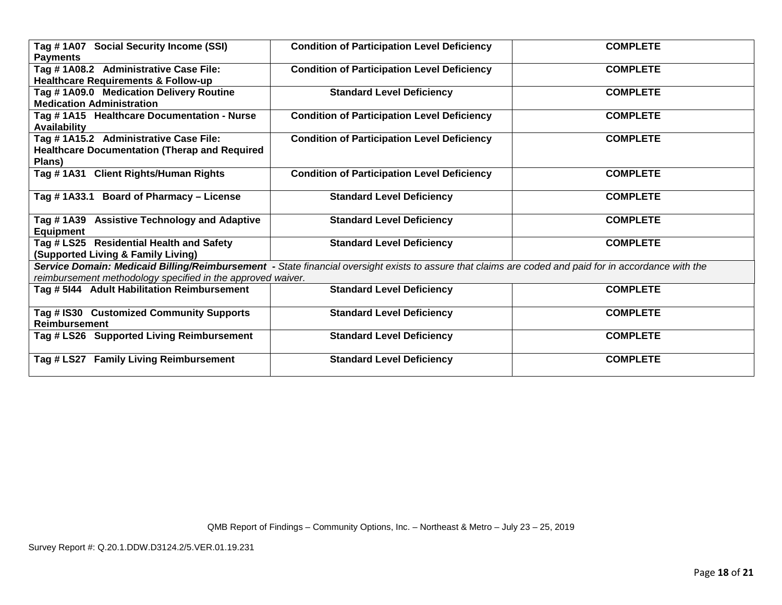| <b>Social Security Income (SSI)</b><br>Tag # 1A07           | <b>Condition of Participation Level Deficiency</b>                                                                                                    | <b>COMPLETE</b> |
|-------------------------------------------------------------|-------------------------------------------------------------------------------------------------------------------------------------------------------|-----------------|
| <b>Payments</b>                                             |                                                                                                                                                       |                 |
| Tag #1A08.2 Administrative Case File:                       | <b>Condition of Participation Level Deficiency</b>                                                                                                    | <b>COMPLETE</b> |
| <b>Healthcare Requirements &amp; Follow-up</b>              |                                                                                                                                                       |                 |
| Tag #1A09.0 Medication Delivery Routine                     | <b>Standard Level Deficiency</b>                                                                                                                      | <b>COMPLETE</b> |
| <b>Medication Administration</b>                            |                                                                                                                                                       |                 |
| Tag #1A15 Healthcare Documentation - Nurse                  | <b>Condition of Participation Level Deficiency</b>                                                                                                    | <b>COMPLETE</b> |
| <b>Availability</b>                                         |                                                                                                                                                       |                 |
| Tag # 1A15.2 Administrative Case File:                      | <b>Condition of Participation Level Deficiency</b>                                                                                                    | <b>COMPLETE</b> |
| <b>Healthcare Documentation (Therap and Required</b>        |                                                                                                                                                       |                 |
| Plans)                                                      |                                                                                                                                                       |                 |
| Tag #1A31 Client Rights/Human Rights                        | <b>Condition of Participation Level Deficiency</b>                                                                                                    | <b>COMPLETE</b> |
|                                                             |                                                                                                                                                       |                 |
| Tag #1A33.1 Board of Pharmacy - License                     | <b>Standard Level Deficiency</b>                                                                                                                      | <b>COMPLETE</b> |
|                                                             |                                                                                                                                                       |                 |
| Tag #1A39 Assistive Technology and Adaptive                 | <b>Standard Level Deficiency</b>                                                                                                                      | <b>COMPLETE</b> |
| <b>Equipment</b>                                            |                                                                                                                                                       |                 |
| Tag # LS25 Residential Health and Safety                    | <b>Standard Level Deficiency</b>                                                                                                                      | <b>COMPLETE</b> |
| (Supported Living & Family Living)                          |                                                                                                                                                       |                 |
|                                                             | Service Domain: Medicaid Billing/Reimbursement - State financial oversight exists to assure that claims are coded and paid for in accordance with the |                 |
| reimbursement methodology specified in the approved waiver. |                                                                                                                                                       |                 |
| Tag # 5144 Adult Habilitation Reimbursement                 | <b>Standard Level Deficiency</b>                                                                                                                      | <b>COMPLETE</b> |
|                                                             |                                                                                                                                                       |                 |
| Tag # IS30 Customized Community Supports                    | <b>Standard Level Deficiency</b>                                                                                                                      | <b>COMPLETE</b> |
| <b>Reimbursement</b>                                        |                                                                                                                                                       |                 |
| Tag # LS26 Supported Living Reimbursement                   | <b>Standard Level Deficiency</b>                                                                                                                      | <b>COMPLETE</b> |
|                                                             |                                                                                                                                                       |                 |
| <b>Family Living Reimbursement</b><br>Tag # $LS27$          | <b>Standard Level Deficiency</b>                                                                                                                      | <b>COMPLETE</b> |
|                                                             |                                                                                                                                                       |                 |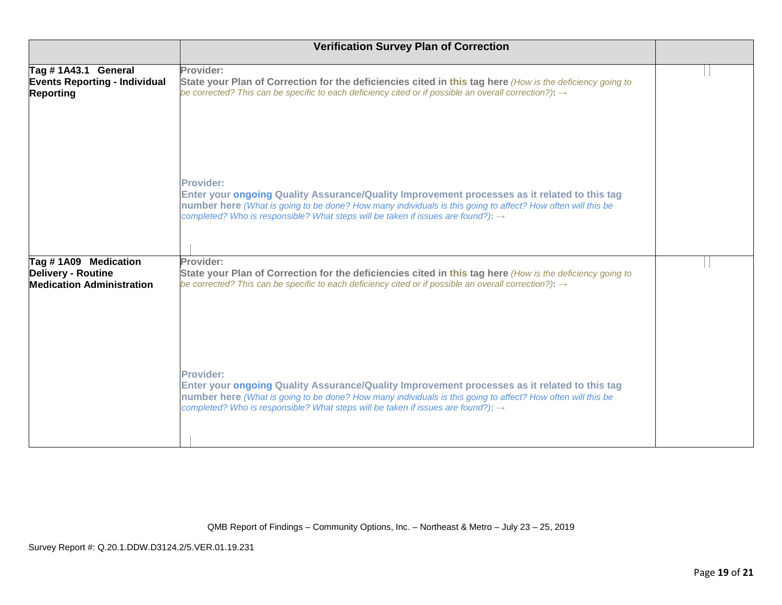|                                                                                       | <b>Verification Survey Plan of Correction</b>                                                                                                                                                                                                                                                                                   |  |
|---------------------------------------------------------------------------------------|---------------------------------------------------------------------------------------------------------------------------------------------------------------------------------------------------------------------------------------------------------------------------------------------------------------------------------|--|
| Tag #1A43.1 General<br><b>Events Reporting - Individual</b><br><b>Reporting</b>       | Provider:<br>State your Plan of Correction for the deficiencies cited in this tag here (How is the deficiency going to<br>be corrected? This can be specific to each deficiency cited or if possible an overall correction?): $\rightarrow$                                                                                     |  |
|                                                                                       | <b>Provider:</b><br>Enter your ongoing Quality Assurance/Quality Improvement processes as it related to this tag<br>number here (What is going to be done? How many individuals is this going to affect? How often will this be<br>completed? Who is responsible? What steps will be taken if issues are found?): $\rightarrow$ |  |
| Tag #1A09 Medication<br><b>Delivery - Routine</b><br><b>Medication Administration</b> | Provider:<br>State your Plan of Correction for the deficiencies cited in this tag here (How is the deficiency going to<br>be corrected? This can be specific to each deficiency cited or if possible an overall correction?): $\rightarrow$                                                                                     |  |
|                                                                                       | <b>Provider:</b><br>Enter your ongoing Quality Assurance/Quality Improvement processes as it related to this tag<br>number here (What is going to be done? How many individuals is this going to affect? How often will this be<br>completed? Who is responsible? What steps will be taken if issues are found?): →             |  |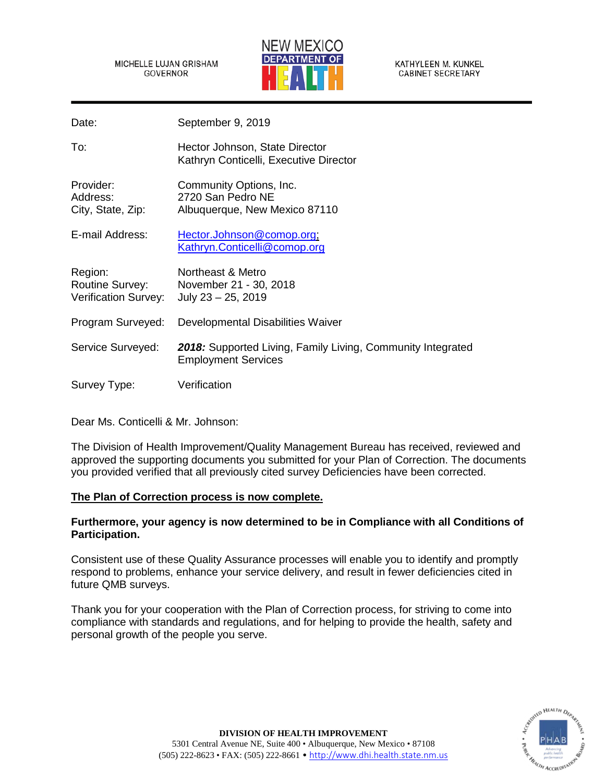MICHELLE LUJAN GRISHAM GOVERNOR



KATHYLEEN M. KUNKEL **CABINET SECRETARY** 

Date: September 9, 2019

To: Hector Johnson, State Director Kathryn Conticelli, Executive Director

Provider: Community Options, Inc. Address: 2720 San Pedro NE City, State, Zip: Albuquerque, New Mexico 87110

E-mail Address: [Hector.Johnson@comop.org;](mailto:Hector.Johnson@comop.org) [Kathryn.Conticelli@comop.org](mailto:Kathryn.Conticelli@comop.org)

Region: Northeast & Metro Routine Survey: November 21 - 30, 2018 Verification Survey: July 23 – 25, 2019

Program Surveyed: Developmental Disabilities Waiver

Service Surveyed: *2018:* Supported Living, Family Living, Community Integrated Employment Services

Survey Type: Verification

Dear Ms. Conticelli & Mr. Johnson:

The Division of Health Improvement/Quality Management Bureau has received, reviewed and approved the supporting documents you submitted for your Plan of Correction. The documents you provided verified that all previously cited survey Deficiencies have been corrected.

# **The Plan of Correction process is now complete.**

# **Furthermore, your agency is now determined to be in Compliance with all Conditions of Participation.**

Consistent use of these Quality Assurance processes will enable you to identify and promptly respond to problems, enhance your service delivery, and result in fewer deficiencies cited in future QMB surveys.

Thank you for your cooperation with the Plan of Correction process, for striving to come into compliance with standards and regulations, and for helping to provide the health, safety and personal growth of the people you serve.